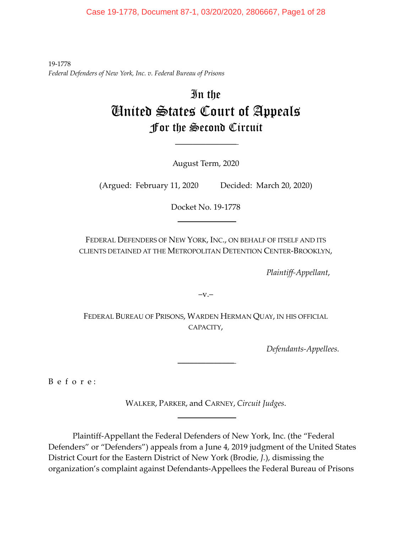Case 19-1778, Document 87-1, 03/20/2020, 2806667, Page1 of 28

19-1778 *Federal Defenders of New York, Inc. v. Federal Bureau of Prisons*

# In the United States Court of Appeals For the Second Circuit

August Term, 2020

 $\mathcal{L}_\text{max}$ 

(Argued: February 11, 2020 Decided: March 20, 2020)

Docket No. 19-1778  $\frac{1}{2}$ 

FEDERAL DEFENDERS OF NEW YORK, INC., ON BEHALF OF ITSELF AND ITS CLIENTS DETAINED AT THE METROPOLITAN DETENTION CENTER-BROOKLYN,

*Plaintiff-Appellant*,

 $-V.$ 

FEDERAL BUREAU OF PRISONS, WARDEN HERMAN QUAY, IN HIS OFFICIAL CAPACITY,

 $\frac{1}{2}$ 

*Defendants-Appellees.*

B e f o r e :

WALKER, PARKER, and CARNEY, *Circuit Judges*.  $\frac{1}{2}$ 

Plaintiff-Appellant the Federal Defenders of New York, Inc. (the "Federal Defenders" or "Defenders") appeals from a June 4, 2019 judgment of the United States District Court for the Eastern District of New York (Brodie, *J.*), dismissing the organization's complaint against Defendants-Appellees the Federal Bureau of Prisons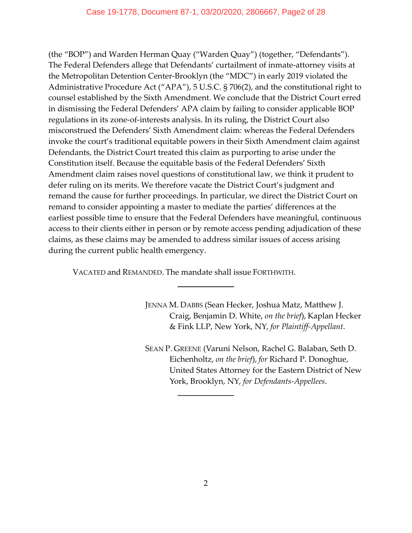(the "BOP") and Warden Herman Quay ("Warden Quay") (together, "Defendants"). The Federal Defenders allege that Defendants' curtailment of inmate-attorney visits at the Metropolitan Detention Center-Brooklyn (the "MDC") in early 2019 violated the Administrative Procedure Act ("APA"), 5 U.S.C. § 706(2), and the constitutional right to counsel established by the Sixth Amendment. We conclude that the District Court erred in dismissing the Federal Defenders' APA claim by failing to consider applicable BOP regulations in its zone-of-interests analysis. In its ruling, the District Court also misconstrued the Defenders' Sixth Amendment claim: whereas the Federal Defenders invoke the court's traditional equitable powers in their Sixth Amendment claim against Defendants, the District Court treated this claim as purporting to arise under the Constitution itself. Because the equitable basis of the Federal Defenders' Sixth Amendment claim raises novel questions of constitutional law, we think it prudent to defer ruling on its merits. We therefore vacate the District Court's judgment and remand the cause for further proceedings. In particular, we direct the District Court on remand to consider appointing a master to mediate the parties' differences at the earliest possible time to ensure that the Federal Defenders have meaningful, continuous access to their clients either in person or by remote access pending adjudication of these claims, as these claims may be amended to address similar issues of access arising during the current public health emergency.

VACATED and REMANDED. The mandate shall issue FORTHWITH.

 $\overline{\phantom{a}}$  , where  $\overline{\phantom{a}}$ 

JENNA M. DABBS (Sean Hecker, Joshua Matz, Matthew J. Craig, Benjamin D. White, *on the brief*), Kaplan Hecker & Fink LLP, New York, NY, *for Plaintiff-Appellant*.

SEAN P. GREENE (Varuni Nelson, Rachel G. Balaban, Seth D. Eichenholtz, *on the brief*), *for* Richard P. Donoghue, United States Attorney for the Eastern District of New York, Brooklyn, NY, *for Defendants-Appellees*.

 $\frac{1}{2}$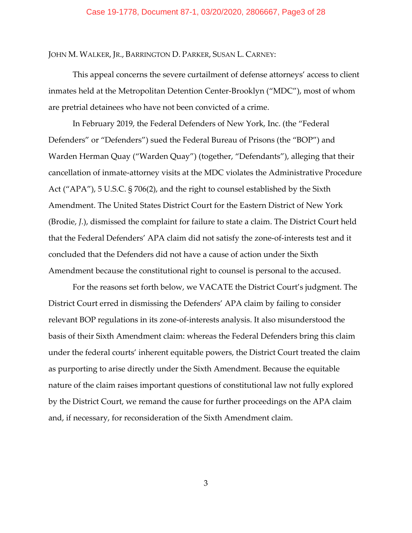## Case 19-1778, Document 87-1, 03/20/2020, 2806667, Page3 of 28

JOHN M. WALKER, JR., BARRINGTON D. PARKER, SUSAN L. CARNEY:

This appeal concerns the severe curtailment of defense attorneys' access to client inmates held at the Metropolitan Detention Center-Brooklyn ("MDC"), most of whom are pretrial detainees who have not been convicted of a crime.

In February 2019, the Federal Defenders of New York, Inc. (the "Federal Defenders" or "Defenders") sued the Federal Bureau of Prisons (the "BOP") and Warden Herman Quay ("Warden Quay") (together, "Defendants"), alleging that their cancellation of inmate-attorney visits at the MDC violates the Administrative Procedure Act ("APA"), 5 U.S.C. § 706(2), and the right to counsel established by the Sixth Amendment. The United States District Court for the Eastern District of New York (Brodie, *J.*), dismissed the complaint for failure to state a claim. The District Court held that the Federal Defenders' APA claim did not satisfy the zone-of-interests test and it concluded that the Defenders did not have a cause of action under the Sixth Amendment because the constitutional right to counsel is personal to the accused.

For the reasons set forth below, we VACATE the District Court's judgment. The District Court erred in dismissing the Defenders' APA claim by failing to consider relevant BOP regulations in its zone-of-interests analysis. It also misunderstood the basis of their Sixth Amendment claim: whereas the Federal Defenders bring this claim under the federal courts' inherent equitable powers, the District Court treated the claim as purporting to arise directly under the Sixth Amendment. Because the equitable nature of the claim raises important questions of constitutional law not fully explored by the District Court, we remand the cause for further proceedings on the APA claim and, if necessary, for reconsideration of the Sixth Amendment claim.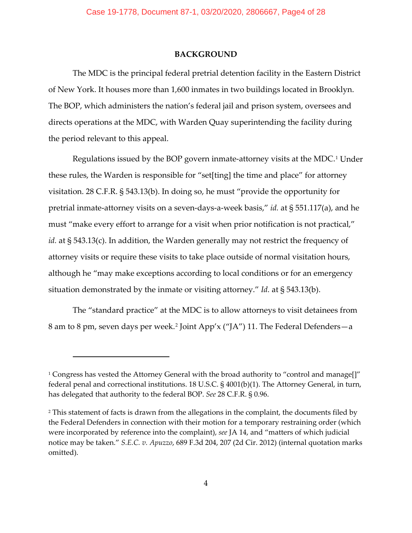## **BACKGROUND**

The MDC is the principal federal pretrial detention facility in the Eastern District of New York. It houses more than 1,600 inmates in two buildings located in Brooklyn. The BOP, which administers the nation's federal jail and prison system, oversees and directs operations at the MDC, with Warden Quay superintending the facility during the period relevant to this appeal.

Regulations issued by the BOP govern inmate-attorney visits at the MDC.[1](#page-20-0) Under these rules, the Warden is responsible for "set[ting] the time and place" for attorney visitation. 28 C.F.R. § 543.13(b). In doing so, he must "provide the opportunity for pretrial inmate-attorney visits on a seven-days-a-week basis," *id.* at § 551.117(a), and he must "make every effort to arrange for a visit when prior notification is not practical," *id.* at § 543.13(c). In addition, the Warden generally may not restrict the frequency of attorney visits or require these visits to take place outside of normal visitation hours, although he "may make exceptions according to local conditions or for an emergency situation demonstrated by the inmate or visiting attorney." *Id.* at § 543.13(b).

The "standard practice" at the MDC is to allow attorneys to visit detainees from 8 am to 8 pm, seven days per week.[2](#page-20-0) Joint App'x ("JA") 11. The Federal Defenders—a

<sup>&</sup>lt;sup>1</sup> Congress has vested the Attorney General with the broad authority to "control and manage[]" federal penal and correctional institutions. 18 U.S.C. § 4001(b)(1). The Attorney General, in turn, has delegated that authority to the federal BOP. *See* 28 C.F.R. § 0.96.

<sup>&</sup>lt;sup>2</sup> This statement of facts is drawn from the allegations in the complaint, the documents filed by the Federal Defenders in connection with their motion for a temporary restraining order (which were incorporated by reference into the complaint), *see* JA 14, and "matters of which judicial notice may be taken." *S.E.C. v. Apuzzo*, 689 F.3d 204, 207 (2d Cir. 2012) (internal quotation marks omitted).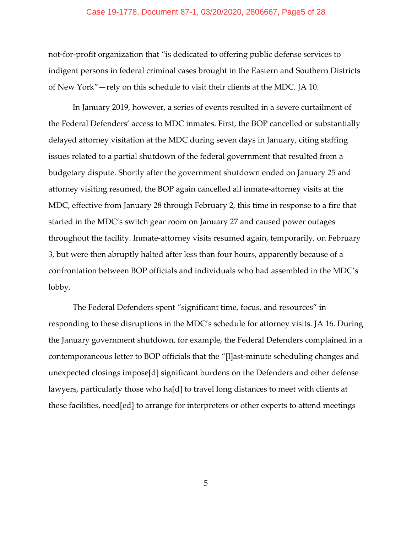## Case 19-1778, Document 87-1, 03/20/2020, 2806667, Page5 of 28

not-for-profit organization that "is dedicated to offering public defense services to indigent persons in federal criminal cases brought in the Eastern and Southern Districts of New York"—rely on this schedule to visit their clients at the MDC. JA 10.

In January 2019, however, a series of events resulted in a severe curtailment of the Federal Defenders' access to MDC inmates. First, the BOP cancelled or substantially delayed attorney visitation at the MDC during seven days in January, citing staffing issues related to a partial shutdown of the federal government that resulted from a budgetary dispute. Shortly after the government shutdown ended on January 25 and attorney visiting resumed, the BOP again cancelled all inmate-attorney visits at the MDC, effective from January 28 through February 2, this time in response to a fire that started in the MDC's switch gear room on January 27 and caused power outages throughout the facility. Inmate-attorney visits resumed again, temporarily, on February 3, but were then abruptly halted after less than four hours, apparently because of a confrontation between BOP officials and individuals who had assembled in the MDC's lobby.

The Federal Defenders spent "significant time, focus, and resources" in responding to these disruptions in the MDC's schedule for attorney visits. JA 16. During the January government shutdown, for example, the Federal Defenders complained in a contemporaneous letter to BOP officials that the "[l]ast-minute scheduling changes and unexpected closings impose[d] significant burdens on the Defenders and other defense lawyers, particularly those who ha[d] to travel long distances to meet with clients at these facilities, need[ed] to arrange for interpreters or other experts to attend meetings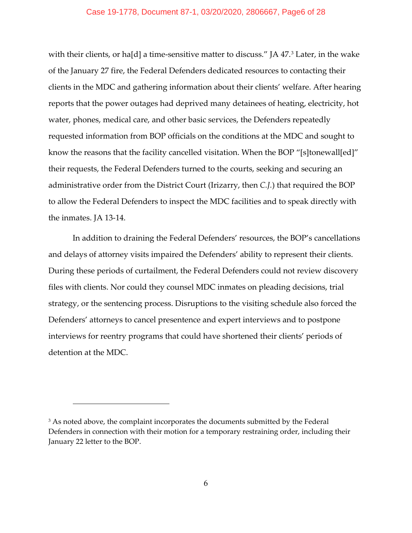## Case 19-1778, Document 87-1, 03/20/2020, 2806667, Page6 of 28

with their clients, or ha[d] a time-sensitive matter to discuss." JA 47.<sup>[3](#page-20-0)</sup> Later, in the wake of the January 27 fire, the Federal Defenders dedicated resources to contacting their clients in the MDC and gathering information about their clients' welfare. After hearing reports that the power outages had deprived many detainees of heating, electricity, hot water, phones, medical care, and other basic services, the Defenders repeatedly requested information from BOP officials on the conditions at the MDC and sought to know the reasons that the facility cancelled visitation. When the BOP "[s]tonewall[ed]" their requests, the Federal Defenders turned to the courts, seeking and securing an administrative order from the District Court (Irizarry, then *C.J.*) that required the BOP to allow the Federal Defenders to inspect the MDC facilities and to speak directly with the inmates. JA 13-14.

In addition to draining the Federal Defenders' resources, the BOP's cancellations and delays of attorney visits impaired the Defenders' ability to represent their clients. During these periods of curtailment, the Federal Defenders could not review discovery files with clients. Nor could they counsel MDC inmates on pleading decisions, trial strategy, or the sentencing process. Disruptions to the visiting schedule also forced the Defenders' attorneys to cancel presentence and expert interviews and to postpone interviews for reentry programs that could have shortened their clients' periods of detention at the MDC.

<sup>&</sup>lt;sup>3</sup> As noted above, the complaint incorporates the documents submitted by the Federal Defenders in connection with their motion for a temporary restraining order, including their January 22 letter to the BOP.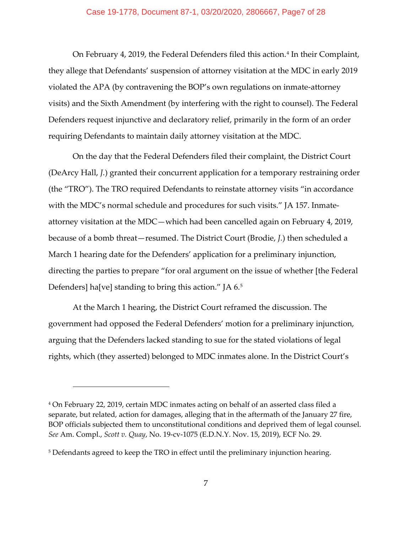## Case 19-1778, Document 87-1, 03/20/2020, 2806667, Page7 of 28

On February [4](#page-20-0), 2019, the Federal Defenders filed this action.<sup>4</sup> In their Complaint, they allege that Defendants' suspension of attorney visitation at the MDC in early 2019 violated the APA (by contravening the BOP's own regulations on inmate-attorney visits) and the Sixth Amendment (by interfering with the right to counsel). The Federal Defenders request injunctive and declaratory relief, primarily in the form of an order requiring Defendants to maintain daily attorney visitation at the MDC.

On the day that the Federal Defenders filed their complaint, the District Court (DeArcy Hall, *J.*) granted their concurrent application for a temporary restraining order (the "TRO"). The TRO required Defendants to reinstate attorney visits "in accordance with the MDC's normal schedule and procedures for such visits." JA 157. Inmateattorney visitation at the MDC—which had been cancelled again on February 4, 2019, because of a bomb threat—resumed. The District Court (Brodie, *J.*) then scheduled a March 1 hearing date for the Defenders' application for a preliminary injunction, directing the parties to prepare "for oral argument on the issue of whether [the Federal Defenders] ha[ve] standing to bring this action." JA 6.[5](#page-20-0)

At the March 1 hearing, the District Court reframed the discussion. The government had opposed the Federal Defenders' motion for a preliminary injunction, arguing that the Defenders lacked standing to sue for the stated violations of legal rights, which (they asserted) belonged to MDC inmates alone. In the District Court's

<sup>4</sup> On February 22, 2019, certain MDC inmates acting on behalf of an asserted class filed a separate, but related, action for damages, alleging that in the aftermath of the January 27 fire, BOP officials subjected them to unconstitutional conditions and deprived them of legal counsel. *See* Am. Compl., *Scott v. Quay*, No. 19-cv-1075 (E.D.N.Y. Nov. 15, 2019), ECF No. 29.

<sup>&</sup>lt;sup>5</sup> Defendants agreed to keep the TRO in effect until the preliminary injunction hearing.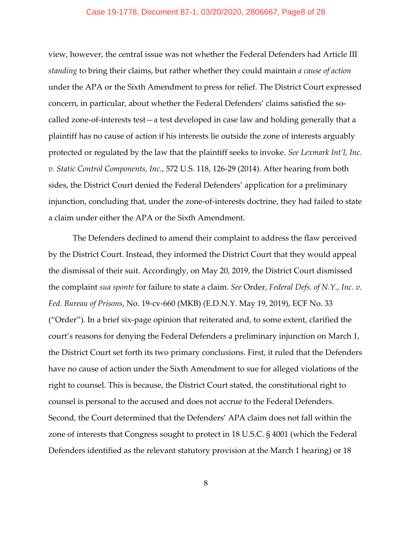## Case 19-1778, Document 87-1, 03/20/2020, 2806667, Page8 of 28

view, however, the central issue was not whether the Federal Defenders had Article III *standing* to bring their claims, but rather whether they could maintain *a cause of action* under the APA or the Sixth Amendment to press for relief. The District Court expressed concern, in particular, about whether the Federal Defenders' claims satisfied the socalled zone-of-interests test—a test developed in case law and holding generally that a plaintiff has no cause of action if his interests lie outside the zone of interests arguably protected or regulated by the law that the plaintiff seeks to invoke. *See Lexmark Int'l, Inc. v. Static Control Components, Inc.*, 572 U.S. 118, 126-29 (2014). After hearing from both sides, the District Court denied the Federal Defenders' application for a preliminary injunction, concluding that, under the zone-of-interests doctrine, they had failed to state a claim under either the APA or the Sixth Amendment.

The Defenders declined to amend their complaint to address the flaw perceived by the District Court. Instead, they informed the District Court that they would appeal the dismissal of their suit. Accordingly, on May 20, 2019, the District Court dismissed the complaint *sua sponte* for failure to state a claim. *See* Order, *Federal Defs. of N.Y., Inc. v. Fed. Bureau of Prisons*, No. 19-cv-660 (MKB) (E.D.N.Y. May 19, 2019), ECF No. 33 ("Order"). In a brief six-page opinion that reiterated and, to some extent, clarified the court's reasons for denying the Federal Defenders a preliminary injunction on March 1, the District Court set forth its two primary conclusions. First, it ruled that the Defenders have no cause of action under the Sixth Amendment to sue for alleged violations of the right to counsel. This is because, the District Court stated, the constitutional right to counsel is personal to the accused and does not accrue to the Federal Defenders. Second, the Court determined that the Defenders' APA claim does not fall within the zone of interests that Congress sought to protect in 18 U.S.C. § 4001 (which the Federal Defenders identified as the relevant statutory provision at the March 1 hearing) or 18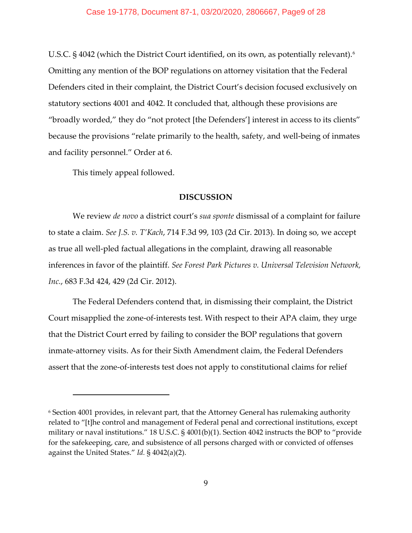### Case 19-1778, Document 87-1, 03/20/2020, 2806667, Page9 of 28

U.S.C. § 4042 (which the District Court identified, on its own, as potentially relevant).<sup>[6](#page-20-0)</sup> Omitting any mention of the BOP regulations on attorney visitation that the Federal Defenders cited in their complaint, the District Court's decision focused exclusively on statutory sections 4001 and 4042. It concluded that, although these provisions are "broadly worded," they do "not protect [the Defenders'] interest in access to its clients" because the provisions "relate primarily to the health, safety, and well-being of inmates and facility personnel." Order at 6.

This timely appeal followed.

## **DISCUSSION**

We review *de novo* a district court's *sua sponte* dismissal of a complaint for failure to state a claim. *See J.S. v. T'Kach*, 714 F.3d 99, 103 (2d Cir. 2013). In doing so, we accept as true all well-pled factual allegations in the complaint, drawing all reasonable inferences in favor of the plaintiff. *See Forest Park Pictures v. Universal Television Network, Inc.*, 683 F.3d 424, 429 (2d Cir. 2012).

The Federal Defenders contend that, in dismissing their complaint, the District Court misapplied the zone-of-interests test. With respect to their APA claim, they urge that the District Court erred by failing to consider the BOP regulations that govern inmate-attorney visits. As for their Sixth Amendment claim, the Federal Defenders assert that the zone-of-interests test does not apply to constitutional claims for relief

<sup>6</sup> Section 4001 provides, in relevant part, that the Attorney General has rulemaking authority related to "[t]he control and management of Federal penal and correctional institutions, except military or naval institutions." 18 U.S.C. § 4001(b)(1). Section 4042 instructs the BOP to "provide for the safekeeping, care, and subsistence of all persons charged with or convicted of offenses against the United States." *Id.* § 4042(a)(2).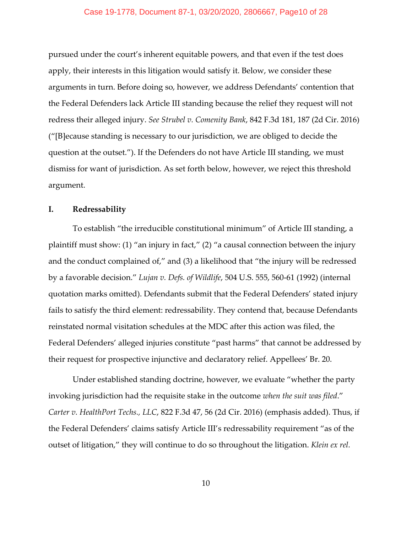pursued under the court's inherent equitable powers, and that even if the test does apply, their interests in this litigation would satisfy it. Below, we consider these arguments in turn. Before doing so, however, we address Defendants' contention that the Federal Defenders lack Article III standing because the relief they request will not redress their alleged injury. *See Strubel v. Comenity Bank*, 842 F.3d 181, 187 (2d Cir. 2016) ("[B]ecause standing is necessary to our jurisdiction, we are obliged to decide the question at the outset."). If the Defenders do not have Article III standing, we must dismiss for want of jurisdiction. As set forth below, however, we reject this threshold argument.

## **I. Redressability**

To establish "the irreducible constitutional minimum" of Article III standing, a plaintiff must show: (1) "an injury in fact," (2) "a causal connection between the injury and the conduct complained of," and (3) a likelihood that "the injury will be redressed by a favorable decision." *Lujan v. Defs. of Wildlife*, 504 U.S. 555, 560-61 (1992) (internal quotation marks omitted). Defendants submit that the Federal Defenders' stated injury fails to satisfy the third element: redressability. They contend that, because Defendants reinstated normal visitation schedules at the MDC after this action was filed, the Federal Defenders' alleged injuries constitute "past harms" that cannot be addressed by their request for prospective injunctive and declaratory relief. Appellees' Br. 20.

Under established standing doctrine, however, we evaluate "whether the party invoking jurisdiction had the requisite stake in the outcome *when the suit was filed*." *Carter v. HealthPort Techs., LLC*, 822 F.3d 47, 56 (2d Cir. 2016) (emphasis added). Thus, if the Federal Defenders' claims satisfy Article III's redressability requirement "as of the outset of litigation," they will continue to do so throughout the litigation. *Klein ex rel.*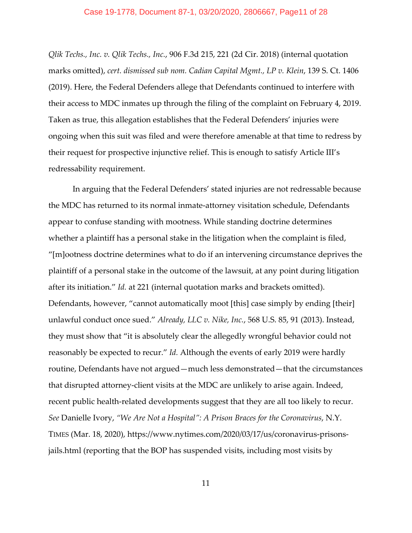#### Case 19-1778, Document 87-1, 03/20/2020, 2806667, Page11 of 28

*Qlik Techs., Inc. v. Qlik Techs., Inc.*, 906 F.3d 215, 221 (2d Cir. 2018) (internal quotation marks omitted), *cert. dismissed sub nom. Cadian Capital Mgmt., LP v. Klein*, 139 S. Ct. 1406 (2019). Here, the Federal Defenders allege that Defendants continued to interfere with their access to MDC inmates up through the filing of the complaint on February 4, 2019. Taken as true, this allegation establishes that the Federal Defenders' injuries were ongoing when this suit was filed and were therefore amenable at that time to redress by their request for prospective injunctive relief. This is enough to satisfy Article III's redressability requirement.

In arguing that the Federal Defenders' stated injuries are not redressable because the MDC has returned to its normal inmate-attorney visitation schedule, Defendants appear to confuse standing with mootness. While standing doctrine determines whether a plaintiff has a personal stake in the litigation when the complaint is filed, "[m]ootness doctrine determines what to do if an intervening circumstance deprives the plaintiff of a personal stake in the outcome of the lawsuit, at any point during litigation after its initiation." *Id.* at 221 (internal quotation marks and brackets omitted). Defendants, however, "cannot automatically moot [this] case simply by ending [their] unlawful conduct once sued." *Already, LLC v. Nike, Inc.*, 568 U.S. 85, 91 (2013). Instead, they must show that "it is absolutely clear the allegedly wrongful behavior could not reasonably be expected to recur." *Id.* Although the events of early 2019 were hardly routine, Defendants have not argued—much less demonstrated—that the circumstances that disrupted attorney-client visits at the MDC are unlikely to arise again. Indeed, recent public health-related developments suggest that they are all too likely to recur. *See* Danielle Ivory, *"We Are Not a Hospital": A Prison Braces for the Coronavirus*, N.Y. TIMES (Mar. 18, 2020), https://www.nytimes.com/2020/03/17/us/coronavirus-prisonsjails.html (reporting that the BOP has suspended visits, including most visits by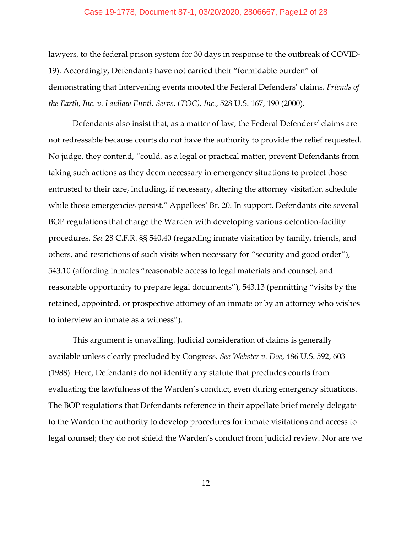#### Case 19-1778, Document 87-1, 03/20/2020, 2806667, Page12 of 28

lawyers, to the federal prison system for 30 days in response to the outbreak of COVID-19). Accordingly, Defendants have not carried their "formidable burden" of demonstrating that intervening events mooted the Federal Defenders' claims. *Friends of the Earth, Inc. v. Laidlaw Envtl. Servs. (TOC), Inc.*, 528 U.S. 167, 190 (2000).

Defendants also insist that, as a matter of law, the Federal Defenders' claims are not redressable because courts do not have the authority to provide the relief requested. No judge, they contend, "could, as a legal or practical matter, prevent Defendants from taking such actions as they deem necessary in emergency situations to protect those entrusted to their care, including, if necessary, altering the attorney visitation schedule while those emergencies persist." Appellees' Br. 20. In support, Defendants cite several BOP regulations that charge the Warden with developing various detention-facility procedures. *See* 28 C.F.R. §§ 540.40 (regarding inmate visitation by family, friends, and others, and restrictions of such visits when necessary for "security and good order"), 543.10 (affording inmates "reasonable access to legal materials and counsel, and reasonable opportunity to prepare legal documents"), 543.13 (permitting "visits by the retained, appointed, or prospective attorney of an inmate or by an attorney who wishes to interview an inmate as a witness").

This argument is unavailing. Judicial consideration of claims is generally available unless clearly precluded by Congress. *See Webster v. Doe*, 486 U.S. 592, 603 (1988). Here, Defendants do not identify any statute that precludes courts from evaluating the lawfulness of the Warden's conduct, even during emergency situations. The BOP regulations that Defendants reference in their appellate brief merely delegate to the Warden the authority to develop procedures for inmate visitations and access to legal counsel; they do not shield the Warden's conduct from judicial review. Nor are we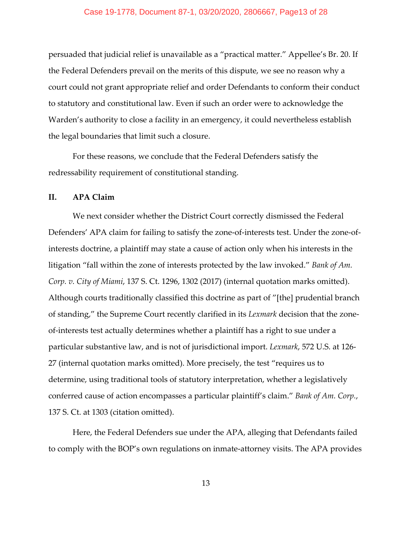persuaded that judicial relief is unavailable as a "practical matter." Appellee's Br. 20. If the Federal Defenders prevail on the merits of this dispute, we see no reason why a court could not grant appropriate relief and order Defendants to conform their conduct to statutory and constitutional law. Even if such an order were to acknowledge the Warden's authority to close a facility in an emergency, it could nevertheless establish the legal boundaries that limit such a closure.

For these reasons, we conclude that the Federal Defenders satisfy the redressability requirement of constitutional standing.

# **II. APA Claim**

We next consider whether the District Court correctly dismissed the Federal Defenders' APA claim for failing to satisfy the zone-of-interests test. Under the zone-ofinterests doctrine, a plaintiff may state a cause of action only when his interests in the litigation "fall within the zone of interests protected by the law invoked." *Bank of Am. Corp. v. City of Miami*, 137 S. Ct. 1296, 1302 (2017) (internal quotation marks omitted). Although courts traditionally classified this doctrine as part of "[the] prudential branch of standing," the Supreme Court recently clarified in its *Lexmark* decision that the zoneof-interests test actually determines whether a plaintiff has a right to sue under a particular substantive law, and is not of jurisdictional import. *Lexmark*, 572 U.S. at 126- 27 (internal quotation marks omitted). More precisely, the test "requires us to determine, using traditional tools of statutory interpretation, whether a legislatively conferred cause of action encompasses a particular plaintiff's claim." *Bank of Am. Corp.*, 137 S. Ct. at 1303 (citation omitted).

Here, the Federal Defenders sue under the APA, alleging that Defendants failed to comply with the BOP's own regulations on inmate-attorney visits. The APA provides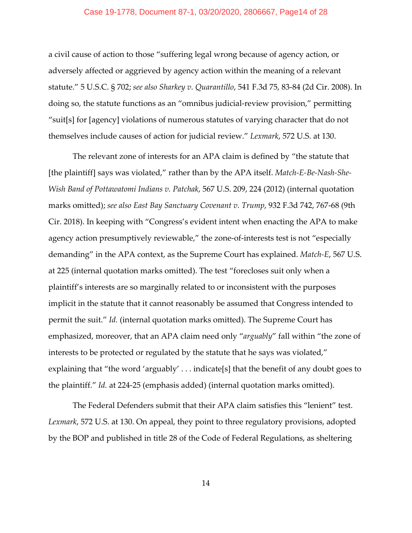## Case 19-1778, Document 87-1, 03/20/2020, 2806667, Page14 of 28

a civil cause of action to those "suffering legal wrong because of agency action, or adversely affected or aggrieved by agency action within the meaning of a relevant statute." 5 U.S.C. § 702; *see also Sharkey v. Quarantillo*, 541 F.3d 75, 83-84 (2d Cir. 2008). In doing so, the statute functions as an "omnibus judicial-review provision," permitting "suit[s] for [agency] violations of numerous statutes of varying character that do not themselves include causes of action for judicial review." *Lexmark*, 572 U.S. at 130.

The relevant zone of interests for an APA claim is defined by "the statute that [the plaintiff] says was violated," rather than by the APA itself. *Match-E-Be-Nash-She-Wish Band of Pottawatomi Indians v. Patchak*, 567 U.S. 209, 224 (2012) (internal quotation marks omitted); *see also East Bay Sanctuary Covenant v. Trump*, 932 F.3d 742, 767-68 (9th Cir. 2018). In keeping with "Congress's evident intent when enacting the APA to make agency action presumptively reviewable," the zone-of-interests test is not "especially demanding" in the APA context, as the Supreme Court has explained. *Match-E*, 567 U.S. at 225 (internal quotation marks omitted). The test "forecloses suit only when a plaintiff's interests are so marginally related to or inconsistent with the purposes implicit in the statute that it cannot reasonably be assumed that Congress intended to permit the suit." *Id.* (internal quotation marks omitted). The Supreme Court has emphasized, moreover, that an APA claim need only "*arguably*" fall within "the zone of interests to be protected or regulated by the statute that he says was violated," explaining that "the word 'arguably' . . . indicate[s] that the benefit of any doubt goes to the plaintiff." *Id.* at 224-25 (emphasis added) (internal quotation marks omitted).

The Federal Defenders submit that their APA claim satisfies this "lenient" test. *Lexmark*, 572 U.S. at 130. On appeal, they point to three regulatory provisions, adopted by the BOP and published in title 28 of the Code of Federal Regulations, as sheltering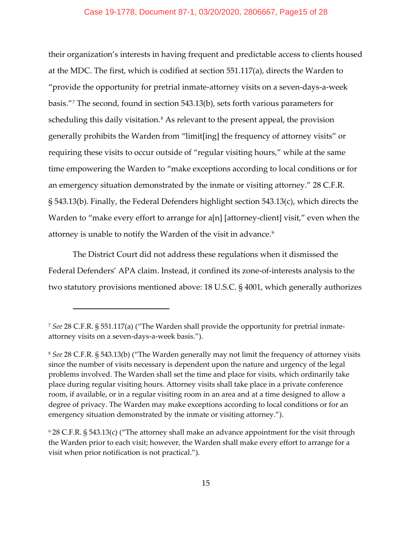their organization's interests in having frequent and predictable access to clients housed at the MDC. The first, which is codified at section 551.117(a), directs the Warden to "provide the opportunity for pretrial inmate-attorney visits on a seven-days-a-week basis."[7](#page-20-0) The second, found in section 543.13(b), sets forth various parameters for scheduling this daily visitation.<sup>[8](#page-20-0)</sup> As relevant to the present appeal, the provision generally prohibits the Warden from "limit[ing] the frequency of attorney visits" or requiring these visits to occur outside of "regular visiting hours," while at the same time empowering the Warden to "make exceptions according to local conditions or for an emergency situation demonstrated by the inmate or visiting attorney." 28 C.F.R. § 543.13(b)*.* Finally, the Federal Defenders highlight section 543.13(c), which directs the Warden to "make every effort to arrange for a[n] [attorney-client] visit," even when the attorney is unable to notify the Warden of the visit in advance.[9](#page-20-0)

The District Court did not address these regulations when it dismissed the Federal Defenders' APA claim. Instead, it confined its zone-of-interests analysis to the two statutory provisions mentioned above: 18 U.S.C. § 4001, which generally authorizes

<sup>7</sup> *See* 28 C.F.R. § 551.117(a) ("The Warden shall provide the opportunity for pretrial inmateattorney visits on a seven-days-a-week basis.").

<sup>8</sup> *See* 28 C.F.R. § 543.13(b) ("The Warden generally may not limit the frequency of attorney visits since the number of visits necessary is dependent upon the nature and urgency of the legal problems involved. The Warden shall set the time and place for visits, which ordinarily take place during regular visiting hours. Attorney visits shall take place in a private conference room, if available, or in a regular visiting room in an area and at a time designed to allow a degree of privacy. The Warden may make exceptions according to local conditions or for an emergency situation demonstrated by the inmate or visiting attorney.").

<sup>9</sup> 28 C.F.R. § 543.13(c) ("The attorney shall make an advance appointment for the visit through the Warden prior to each visit; however, the Warden shall make every effort to arrange for a visit when prior notification is not practical.").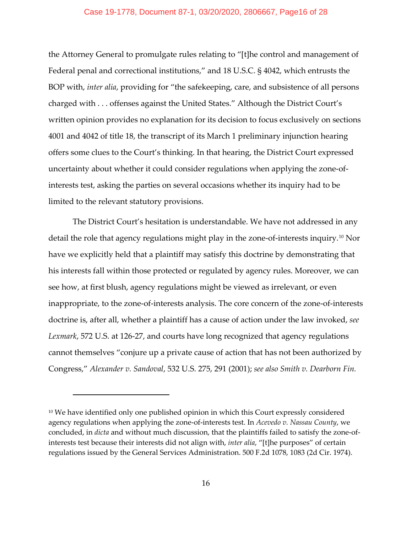## Case 19-1778, Document 87-1, 03/20/2020, 2806667, Page16 of 28

the Attorney General to promulgate rules relating to "[t]he control and management of Federal penal and correctional institutions," and 18 U.S.C. § 4042, which entrusts the BOP with, *inter alia*, providing for "the safekeeping, care, and subsistence of all persons charged with . . . offenses against the United States." Although the District Court's written opinion provides no explanation for its decision to focus exclusively on sections 4001 and 4042 of title 18, the transcript of its March 1 preliminary injunction hearing offers some clues to the Court's thinking. In that hearing, the District Court expressed uncertainty about whether it could consider regulations when applying the zone-ofinterests test, asking the parties on several occasions whether its inquiry had to be limited to the relevant statutory provisions.

The District Court's hesitation is understandable. We have not addressed in any detail the role that agency regulations might play in the zone-of-interests inquiry.[10](#page-20-0) Nor have we explicitly held that a plaintiff may satisfy this doctrine by demonstrating that his interests fall within those protected or regulated by agency rules. Moreover, we can see how, at first blush, agency regulations might be viewed as irrelevant, or even inappropriate, to the zone-of-interests analysis. The core concern of the zone-of-interests doctrine is, after all, whether a plaintiff has a cause of action under the law invoked, *see Lexmark*, 572 U.S. at 126-27, and courts have long recognized that agency regulations cannot themselves "conjure up a private cause of action that has not been authorized by Congress," *Alexander v. Sandoval*, 532 U.S. 275, 291 (2001); *see also Smith v. Dearborn Fin.* 

 $10$  We have identified only one published opinion in which this Court expressly considered agency regulations when applying the zone-of-interests test. In *Acevedo v. Nassau County*, we concluded, in *dicta* and without much discussion, that the plaintiffs failed to satisfy the zone-ofinterests test because their interests did not align with, *inter alia*, "[t]he purposes" of certain regulations issued by the General Services Administration. 500 F.2d 1078, 1083 (2d Cir. 1974).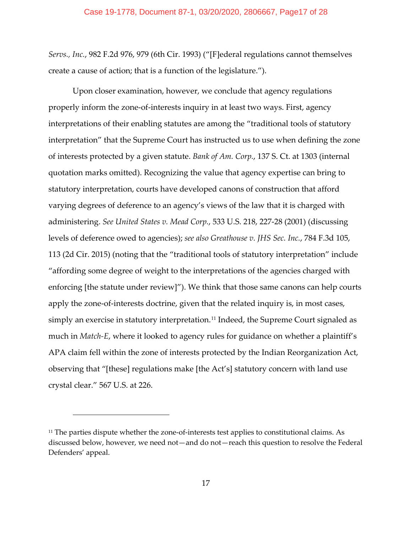*Servs., Inc.*, 982 F.2d 976, 979 (6th Cir. 1993) ("[F]ederal regulations cannot themselves create a cause of action; that is a function of the legislature.").

Upon closer examination, however, we conclude that agency regulations properly inform the zone-of-interests inquiry in at least two ways. First, agency interpretations of their enabling statutes are among the "traditional tools of statutory interpretation" that the Supreme Court has instructed us to use when defining the zone of interests protected by a given statute. *Bank of Am. Corp.*, 137 S. Ct. at 1303 (internal quotation marks omitted). Recognizing the value that agency expertise can bring to statutory interpretation, courts have developed canons of construction that afford varying degrees of deference to an agency's views of the law that it is charged with administering. *See United States v. Mead Corp.*, 533 U.S. 218, 227-28 (2001) (discussing levels of deference owed to agencies); *see also Greathouse v. JHS Sec. Inc.*, 784 F.3d 105, 113 (2d Cir. 2015) (noting that the "traditional tools of statutory interpretation" include "affording some degree of weight to the interpretations of the agencies charged with enforcing [the statute under review]"). We think that those same canons can help courts apply the zone-of-interests doctrine, given that the related inquiry is, in most cases, simply an exercise in statutory interpretation.<sup>[11](#page-20-0)</sup> Indeed, the Supreme Court signaled as much in *Match-E*, where it looked to agency rules for guidance on whether a plaintiff's APA claim fell within the zone of interests protected by the Indian Reorganization Act, observing that "[these] regulations make [the Act's] statutory concern with land use crystal clear." 567 U.S. at 226.

<sup>&</sup>lt;sup>11</sup> The parties dispute whether the zone-of-interests test applies to constitutional claims. As discussed below, however, we need not—and do not—reach this question to resolve the Federal Defenders' appeal.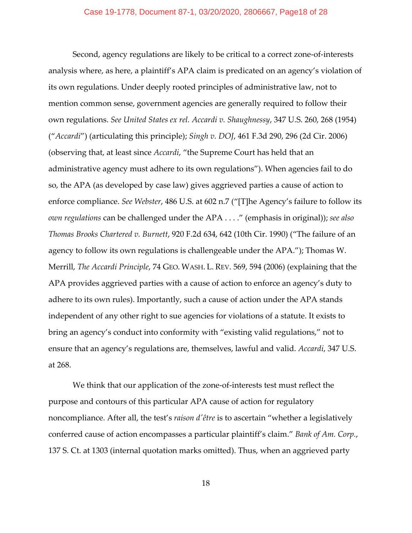Second, agency regulations are likely to be critical to a correct zone-of-interests analysis where, as here, a plaintiff's APA claim is predicated on an agency's violation of its own regulations. Under deeply rooted principles of administrative law, not to mention common sense, government agencies are generally required to follow their own regulations. *See United States ex rel. Accardi v. Shaughnessy*, 347 U.S. 260, 268 (1954) ("*Accardi*") (articulating this principle); *Singh v. DOJ*, 461 F.3d 290, 296 (2d Cir. 2006) (observing that, at least since *Accardi*, "the Supreme Court has held that an administrative agency must adhere to its own regulations"). When agencies fail to do so, the APA (as developed by case law) gives aggrieved parties a cause of action to enforce compliance. *See Webster*, 486 U.S. at 602 n.7 ("[T]he Agency's failure to follow its *own regulations* can be challenged under the APA . . . ." (emphasis in original)); *see also Thomas Brooks Chartered v. Burnett*, 920 F.2d 634, 642 (10th Cir. 1990) ("The failure of an agency to follow its own regulations is challengeable under the APA."); Thomas W. Merrill, *The Accardi Principle*, 74 GEO. WASH. L. REV. 569, 594 (2006) (explaining that the APA provides aggrieved parties with a cause of action to enforce an agency's duty to adhere to its own rules). Importantly, such a cause of action under the APA stands independent of any other right to sue agencies for violations of a statute. It exists to bring an agency's conduct into conformity with "existing valid regulations," not to ensure that an agency's regulations are, themselves, lawful and valid. *Accardi*, 347 U.S. at 268.

We think that our application of the zone-of-interests test must reflect the purpose and contours of this particular APA cause of action for regulatory noncompliance. After all, the test's *raison d'être* is to ascertain "whether a legislatively conferred cause of action encompasses a particular plaintiff's claim." *Bank of Am. Corp.*, 137 S. Ct. at 1303 (internal quotation marks omitted). Thus, when an aggrieved party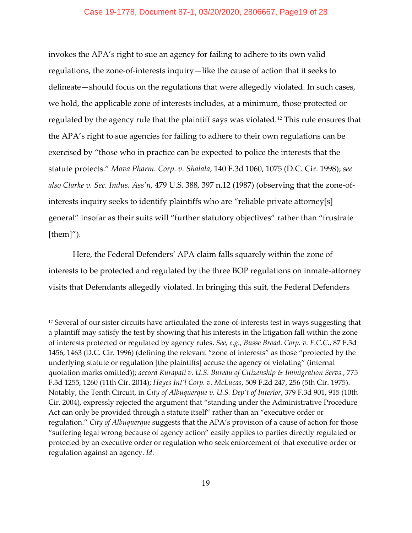invokes the APA's right to sue an agency for failing to adhere to its own valid regulations, the zone-of-interests inquiry—like the cause of action that it seeks to delineate—should focus on the regulations that were allegedly violated. In such cases, we hold, the applicable zone of interests includes, at a minimum, those protected or regulated by the agency rule that the plaintiff says was violated.<sup>[12](#page-20-0)</sup> This rule ensures that the APA's right to sue agencies for failing to adhere to their own regulations can be exercised by "those who in practice can be expected to police the interests that the statute protects." *Mova Pharm. Corp. v. Shalala*, 140 F.3d 1060, 1075 (D.C. Cir. 1998); *see also Clarke v. Sec. Indus. Ass'n*, 479 U.S. 388, 397 n.12 (1987) (observing that the zone-ofinterests inquiry seeks to identify plaintiffs who are "reliable private attorney[s] general" insofar as their suits will "further statutory objectives" rather than "frustrate  $[them]$ .

Here, the Federal Defenders' APA claim falls squarely within the zone of interests to be protected and regulated by the three BOP regulations on inmate-attorney visits that Defendants allegedly violated. In bringing this suit, the Federal Defenders

<sup>&</sup>lt;sup>12</sup> Several of our sister circuits have articulated the zone-of-interests test in ways suggesting that a plaintiff may satisfy the test by showing that his interests in the litigation fall within the zone of interests protected or regulated by agency rules. *See, e.g.*, *Busse Broad. Corp. v. F.C.C.*, 87 F.3d 1456, 1463 (D.C. Cir. 1996) (defining the relevant "zone of interests" as those "protected by the underlying statute or regulation [the plaintiffs] accuse the agency of violating" (internal quotation marks omitted)); *accord Kurapati v. U.S. Bureau of Citizenship & Immigration Servs.*, 775 F.3d 1255, 1260 (11th Cir. 2014); *Hayes Int'l Corp. v. McLucas*, 509 F.2d 247, 256 (5th Cir. 1975). Notably, the Tenth Circuit, in *City of Albuquerque v. U.S. Dep't of Interior*, 379 F.3d 901, 915 (10th Cir. 2004), expressly rejected the argument that "standing under the Administrative Procedure Act can only be provided through a statute itself" rather than an "executive order or regulation." *City of Albuquerque* suggests that the APA's provision of a cause of action for those "suffering legal wrong because of agency action" easily applies to parties directly regulated or protected by an executive order or regulation who seek enforcement of that executive order or regulation against an agency. *Id*.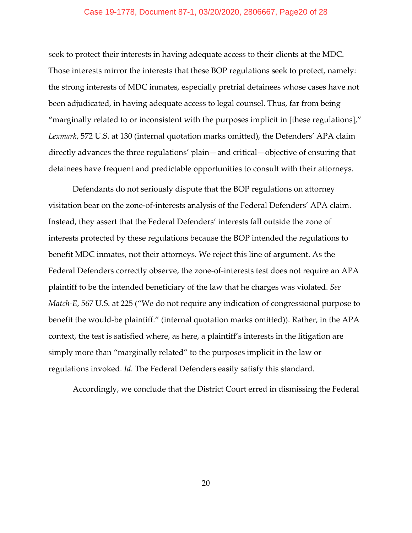## Case 19-1778, Document 87-1, 03/20/2020, 2806667, Page20 of 28

seek to protect their interests in having adequate access to their clients at the MDC. Those interests mirror the interests that these BOP regulations seek to protect, namely: the strong interests of MDC inmates, especially pretrial detainees whose cases have not been adjudicated, in having adequate access to legal counsel. Thus, far from being "marginally related to or inconsistent with the purposes implicit in [these regulations]," *Lexmark*, 572 U.S. at 130 (internal quotation marks omitted), the Defenders' APA claim directly advances the three regulations' plain—and critical—objective of ensuring that detainees have frequent and predictable opportunities to consult with their attorneys.

Defendants do not seriously dispute that the BOP regulations on attorney visitation bear on the zone-of-interests analysis of the Federal Defenders' APA claim. Instead, they assert that the Federal Defenders' interests fall outside the zone of interests protected by these regulations because the BOP intended the regulations to benefit MDC inmates, not their attorneys. We reject this line of argument. As the Federal Defenders correctly observe, the zone-of-interests test does not require an APA plaintiff to be the intended beneficiary of the law that he charges was violated. *See Match-E*, 567 U.S. at 225 ("We do not require any indication of congressional purpose to benefit the would-be plaintiff." (internal quotation marks omitted)). Rather, in the APA context, the test is satisfied where, as here, a plaintiff's interests in the litigation are simply more than "marginally related" to the purposes implicit in the law or regulations invoked. *Id*. The Federal Defenders easily satisfy this standard.

Accordingly, we conclude that the District Court erred in dismissing the Federal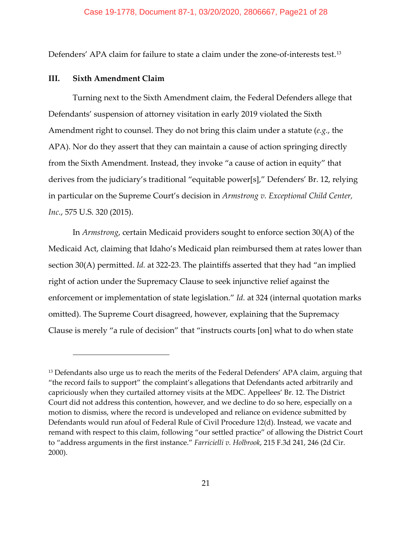Defenders' APA claim for failure to state a claim under the zone-of-interests test.<sup>[13](#page-20-0)</sup>

## **III. Sixth Amendment Claim**

Turning next to the Sixth Amendment claim, the Federal Defenders allege that Defendants' suspension of attorney visitation in early 2019 violated the Sixth Amendment right to counsel. They do not bring this claim under a statute (*e.g.*, the APA). Nor do they assert that they can maintain a cause of action springing directly from the Sixth Amendment. Instead, they invoke "a cause of action in equity" that derives from the judiciary's traditional "equitable power[s]," Defenders' Br. 12, relying in particular on the Supreme Court's decision in *Armstrong v. Exceptional Child Center, Inc.*, 575 U.S. 320 (2015).

In *Armstrong*, certain Medicaid providers sought to enforce section 30(A) of the Medicaid Act, claiming that Idaho's Medicaid plan reimbursed them at rates lower than section 30(A) permitted. *Id.* at 322-23. The plaintiffs asserted that they had "an implied right of action under the Supremacy Clause to seek injunctive relief against the enforcement or implementation of state legislation." *Id.* at 324 (internal quotation marks omitted). The Supreme Court disagreed, however, explaining that the Supremacy Clause is merely "a rule of decision" that "instructs courts [on] what to do when state

<span id="page-20-0"></span><sup>&</sup>lt;sup>13</sup> Defendants also urge us to reach the merits of the Federal Defenders' APA claim, arguing that "the record fails to support" the complaint's allegations that Defendants acted arbitrarily and capriciously when they curtailed attorney visits at the MDC. Appellees' Br. 12. The District Court did not address this contention, however, and we decline to do so here, especially on a motion to dismiss, where the record is undeveloped and reliance on evidence submitted by Defendants would run afoul of Federal Rule of Civil Procedure 12(d). Instead, we vacate and remand with respect to this claim, following "our settled practice" of allowing the District Court to "address arguments in the first instance." *Farricielli v. Holbrook*, 215 F.3d 241, 246 (2d Cir. 2000).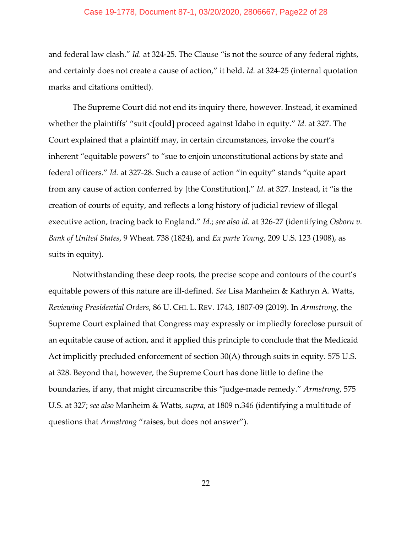## Case 19-1778, Document 87-1, 03/20/2020, 2806667, Page22 of 28

and federal law clash." *Id.* at 324-25. The Clause "is not the source of any federal rights, and certainly does not create a cause of action," it held. *Id.* at 324-25 (internal quotation marks and citations omitted).

The Supreme Court did not end its inquiry there, however. Instead, it examined whether the plaintiffs' "suit c[ould] proceed against Idaho in equity." *Id.* at 327. The Court explained that a plaintiff may, in certain circumstances, invoke the court's inherent "equitable powers" to "sue to enjoin unconstitutional actions by state and federal officers." *Id.* at 327-28. Such a cause of action "in equity" stands "quite apart from any cause of action conferred by [the Constitution]." *Id.* at 327. Instead, it "is the creation of courts of equity, and reflects a long history of judicial review of illegal executive action, tracing back to England." *Id.*; *see also id.* at 326-27 (identifying *Osborn v. Bank of United States*, 9 Wheat. 738 (1824), and *Ex parte Young*, 209 U.S. 123 (1908), as suits in equity).

Notwithstanding these deep roots, the precise scope and contours of the court's equitable powers of this nature are ill-defined. *See* Lisa Manheim & Kathryn A. Watts, *Reviewing Presidential Orders*, 86 U. CHI. L. REV. 1743, 1807-09 (2019). In *Armstrong*, the Supreme Court explained that Congress may expressly or impliedly foreclose pursuit of an equitable cause of action, and it applied this principle to conclude that the Medicaid Act implicitly precluded enforcement of section 30(A) through suits in equity. 575 U.S. at 328. Beyond that, however, the Supreme Court has done little to define the boundaries, if any, that might circumscribe this "judge-made remedy." *Armstrong*, 575 U.S. at 327; *see also* Manheim & Watts, *supra*, at 1809 n.346 (identifying a multitude of questions that *Armstrong* "raises, but does not answer").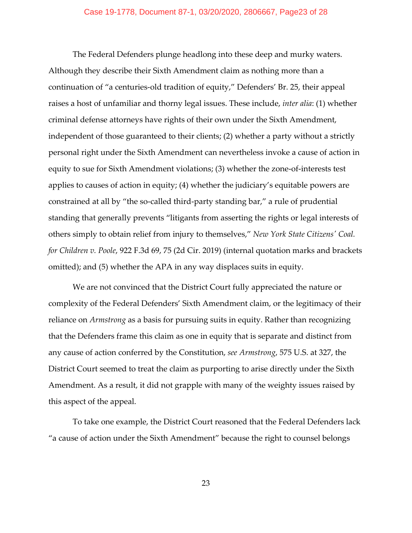## Case 19-1778, Document 87-1, 03/20/2020, 2806667, Page23 of 28

The Federal Defenders plunge headlong into these deep and murky waters. Although they describe their Sixth Amendment claim as nothing more than a continuation of "a centuries-old tradition of equity," Defenders' Br. 25, their appeal raises a host of unfamiliar and thorny legal issues. These include, *inter alia*: (1) whether criminal defense attorneys have rights of their own under the Sixth Amendment, independent of those guaranteed to their clients; (2) whether a party without a strictly personal right under the Sixth Amendment can nevertheless invoke a cause of action in equity to sue for Sixth Amendment violations; (3) whether the zone-of-interests test applies to causes of action in equity; (4) whether the judiciary's equitable powers are constrained at all by "the so-called third-party standing bar," a rule of prudential standing that generally prevents "litigants from asserting the rights or legal interests of others simply to obtain relief from injury to themselves," *New York State Citizens' Coal. for Children v. Poole*, 922 F.3d 69, 75 (2d Cir. 2019) (internal quotation marks and brackets omitted); and (5) whether the APA in any way displaces suits in equity.

We are not convinced that the District Court fully appreciated the nature or complexity of the Federal Defenders' Sixth Amendment claim, or the legitimacy of their reliance on *Armstrong* as a basis for pursuing suits in equity. Rather than recognizing that the Defenders frame this claim as one in equity that is separate and distinct from any cause of action conferred by the Constitution, *see Armstrong*, 575 U.S. at 327, the District Court seemed to treat the claim as purporting to arise directly under the Sixth Amendment. As a result, it did not grapple with many of the weighty issues raised by this aspect of the appeal.

To take one example, the District Court reasoned that the Federal Defenders lack "a cause of action under the Sixth Amendment" because the right to counsel belongs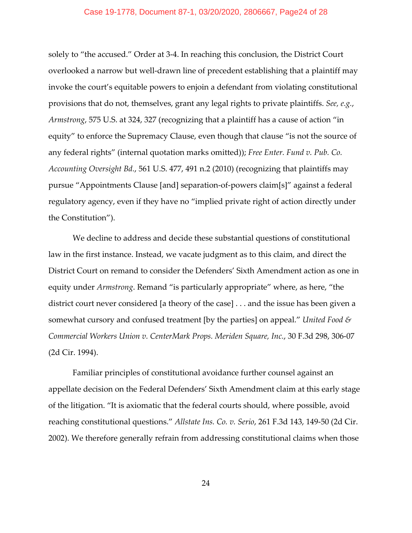## Case 19-1778, Document 87-1, 03/20/2020, 2806667, Page24 of 28

solely to "the accused." Order at 3-4. In reaching this conclusion, the District Court overlooked a narrow but well-drawn line of precedent establishing that a plaintiff may invoke the court's equitable powers to enjoin a defendant from violating constitutional provisions that do not, themselves, grant any legal rights to private plaintiffs. *See, e.g.*, *Armstrong*, 575 U.S. at 324, 327 (recognizing that a plaintiff has a cause of action "in equity" to enforce the Supremacy Clause, even though that clause "is not the source of any federal rights" (internal quotation marks omitted)); *Free Enter. Fund v. Pub. Co. Accounting Oversight Bd.*, 561 U.S. 477, 491 n.2 (2010) (recognizing that plaintiffs may pursue "Appointments Clause [and] separation-of-powers claim[s]" against a federal regulatory agency, even if they have no "implied private right of action directly under the Constitution").

We decline to address and decide these substantial questions of constitutional law in the first instance. Instead, we vacate judgment as to this claim, and direct the District Court on remand to consider the Defenders' Sixth Amendment action as one in equity under *Armstrong*. Remand "is particularly appropriate" where, as here, "the district court never considered [a theory of the case] . . . and the issue has been given a somewhat cursory and confused treatment [by the parties] on appeal." *United Food & Commercial Workers Union v. CenterMark Props. Meriden Square, Inc.*, 30 F.3d 298, 306-07 (2d Cir. 1994).

Familiar principles of constitutional avoidance further counsel against an appellate decision on the Federal Defenders' Sixth Amendment claim at this early stage of the litigation. "It is axiomatic that the federal courts should, where possible, avoid reaching constitutional questions." *Allstate Ins. Co. v. Serio*, 261 F.3d 143, 149-50 (2d Cir. 2002). We therefore generally refrain from addressing constitutional claims when those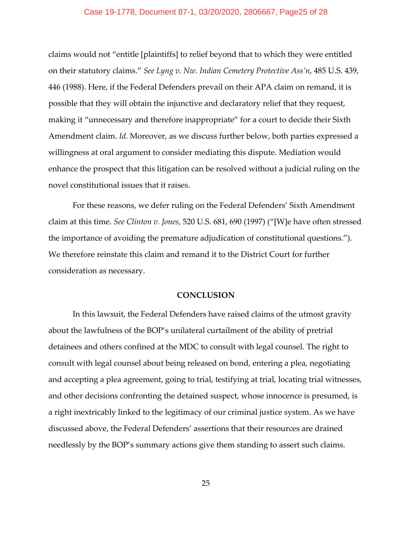# Case 19-1778, Document 87-1, 03/20/2020, 2806667, Page25 of 28

claims would not "entitle [plaintiffs] to relief beyond that to which they were entitled on their statutory claims." *See Lyng v. Nw. Indian Cemetery Protective Ass'n*, 485 U.S. 439, 446 (1988). Here, if the Federal Defenders prevail on their APA claim on remand, it is possible that they will obtain the injunctive and declaratory relief that they request, making it "unnecessary and therefore inappropriate" for a court to decide their Sixth Amendment claim. *Id.* Moreover, as we discuss further below, both parties expressed a willingness at oral argument to consider mediating this dispute. Mediation would enhance the prospect that this litigation can be resolved without a judicial ruling on the novel constitutional issues that it raises.

For these reasons, we defer ruling on the Federal Defenders' Sixth Amendment claim at this time. *See Clinton v. Jones*, 520 U.S. 681, 690 (1997) ("[W]e have often stressed the importance of avoiding the premature adjudication of constitutional questions."). We therefore reinstate this claim and remand it to the District Court for further consideration as necessary.

#### **CONCLUSION**

In this lawsuit, the Federal Defenders have raised claims of the utmost gravity about the lawfulness of the BOP's unilateral curtailment of the ability of pretrial detainees and others confined at the MDC to consult with legal counsel. The right to consult with legal counsel about being released on bond, entering a plea, negotiating and accepting a plea agreement, going to trial, testifying at trial, locating trial witnesses, and other decisions confronting the detained suspect, whose innocence is presumed, is a right inextricably linked to the legitimacy of our criminal justice system. As we have discussed above, the Federal Defenders' assertions that their resources are drained needlessly by the BOP's summary actions give them standing to assert such claims.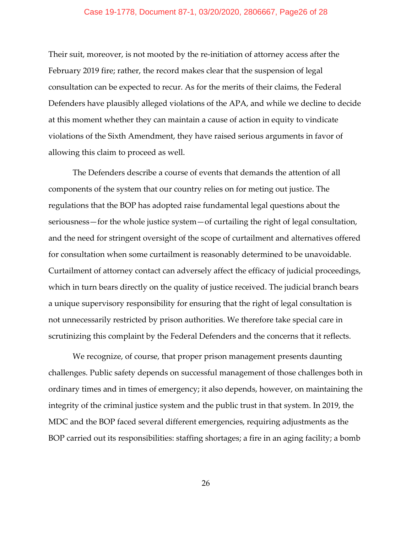## Case 19-1778, Document 87-1, 03/20/2020, 2806667, Page26 of 28

Their suit, moreover, is not mooted by the re-initiation of attorney access after the February 2019 fire; rather, the record makes clear that the suspension of legal consultation can be expected to recur. As for the merits of their claims, the Federal Defenders have plausibly alleged violations of the APA, and while we decline to decide at this moment whether they can maintain a cause of action in equity to vindicate violations of the Sixth Amendment, they have raised serious arguments in favor of allowing this claim to proceed as well.

The Defenders describe a course of events that demands the attention of all components of the system that our country relies on for meting out justice. The regulations that the BOP has adopted raise fundamental legal questions about the seriousness—for the whole justice system—of curtailing the right of legal consultation, and the need for stringent oversight of the scope of curtailment and alternatives offered for consultation when some curtailment is reasonably determined to be unavoidable. Curtailment of attorney contact can adversely affect the efficacy of judicial proceedings, which in turn bears directly on the quality of justice received. The judicial branch bears a unique supervisory responsibility for ensuring that the right of legal consultation is not unnecessarily restricted by prison authorities. We therefore take special care in scrutinizing this complaint by the Federal Defenders and the concerns that it reflects.

We recognize, of course, that proper prison management presents daunting challenges. Public safety depends on successful management of those challenges both in ordinary times and in times of emergency; it also depends, however, on maintaining the integrity of the criminal justice system and the public trust in that system. In 2019, the MDC and the BOP faced several different emergencies, requiring adjustments as the BOP carried out its responsibilities: staffing shortages; a fire in an aging facility; a bomb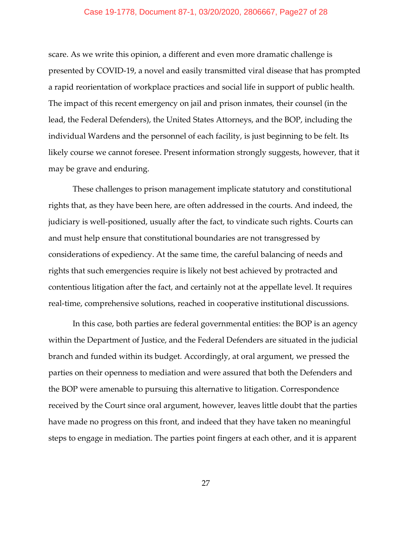## Case 19-1778, Document 87-1, 03/20/2020, 2806667, Page27 of 28

scare. As we write this opinion, a different and even more dramatic challenge is presented by COVID-19, a novel and easily transmitted viral disease that has prompted a rapid reorientation of workplace practices and social life in support of public health. The impact of this recent emergency on jail and prison inmates, their counsel (in the lead, the Federal Defenders), the United States Attorneys, and the BOP, including the individual Wardens and the personnel of each facility, is just beginning to be felt. Its likely course we cannot foresee. Present information strongly suggests, however, that it may be grave and enduring.

These challenges to prison management implicate statutory and constitutional rights that, as they have been here, are often addressed in the courts. And indeed, the judiciary is well-positioned, usually after the fact, to vindicate such rights. Courts can and must help ensure that constitutional boundaries are not transgressed by considerations of expediency. At the same time, the careful balancing of needs and rights that such emergencies require is likely not best achieved by protracted and contentious litigation after the fact, and certainly not at the appellate level. It requires real-time, comprehensive solutions, reached in cooperative institutional discussions.

In this case, both parties are federal governmental entities: the BOP is an agency within the Department of Justice, and the Federal Defenders are situated in the judicial branch and funded within its budget. Accordingly, at oral argument, we pressed the parties on their openness to mediation and were assured that both the Defenders and the BOP were amenable to pursuing this alternative to litigation. Correspondence received by the Court since oral argument, however, leaves little doubt that the parties have made no progress on this front, and indeed that they have taken no meaningful steps to engage in mediation. The parties point fingers at each other, and it is apparent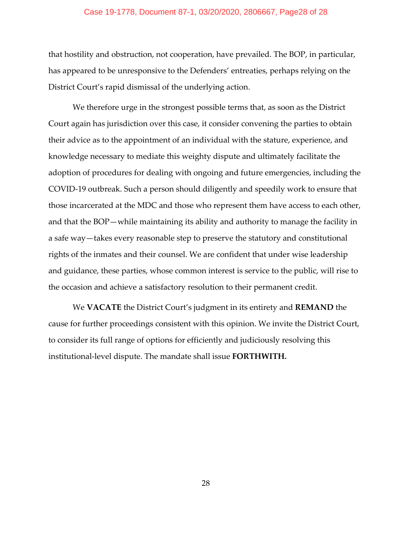### Case 19-1778, Document 87-1, 03/20/2020, 2806667, Page28 of 28

that hostility and obstruction, not cooperation, have prevailed. The BOP, in particular, has appeared to be unresponsive to the Defenders' entreaties, perhaps relying on the District Court's rapid dismissal of the underlying action.

We therefore urge in the strongest possible terms that, as soon as the District Court again has jurisdiction over this case, it consider convening the parties to obtain their advice as to the appointment of an individual with the stature, experience, and knowledge necessary to mediate this weighty dispute and ultimately facilitate the adoption of procedures for dealing with ongoing and future emergencies, including the COVID-19 outbreak. Such a person should diligently and speedily work to ensure that those incarcerated at the MDC and those who represent them have access to each other, and that the BOP—while maintaining its ability and authority to manage the facility in a safe way—takes every reasonable step to preserve the statutory and constitutional rights of the inmates and their counsel. We are confident that under wise leadership and guidance, these parties, whose common interest is service to the public, will rise to the occasion and achieve a satisfactory resolution to their permanent credit.

We **VACATE** the District Court's judgment in its entirety and **REMAND** the cause for further proceedings consistent with this opinion. We invite the District Court, to consider its full range of options for efficiently and judiciously resolving this institutional-level dispute. The mandate shall issue **FORTHWITH.**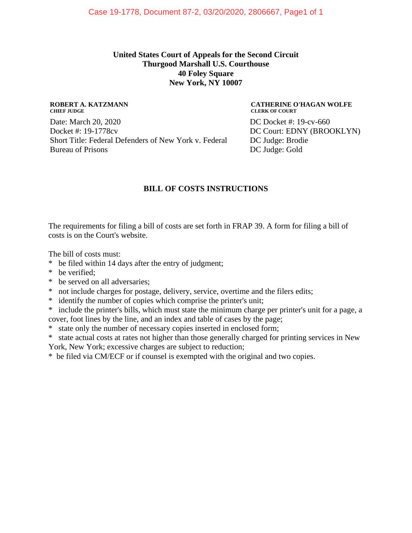# **United States Court of Appeals for the Second Circuit Thurgood Marshall U.S. Courthouse 40 Foley Square New York, NY 10007**

#### **ROBERT A. KATZMANN CHIEF JUDGE**

Date: March 20, 2020 Docket #: 19-1778cv Short Title: Federal Defenders of New York v. Federal Bureau of Prisons

#### **CATHERINE O'HAGAN WOLFE CLERK OF COURT**

DC Docket #: 19-cv-660 DC Court: EDNY (BROOKLYN) DC Judge: Brodie DC Judge: Gold

# **BILL OF COSTS INSTRUCTIONS**

The requirements for filing a bill of costs are set forth in FRAP 39. A form for filing a bill of costs is on the Court's website.

The bill of costs must:

- \* be filed within 14 days after the entry of judgment;
- \* be verified;
- \* be served on all adversaries;
- \* not include charges for postage, delivery, service, overtime and the filers edits;
- \* identify the number of copies which comprise the printer's unit;
- \* include the printer's bills, which must state the minimum charge per printer's unit for a page, a cover, foot lines by the line, and an index and table of cases by the page;
- \* state only the number of necessary copies inserted in enclosed form;
- \* state actual costs at rates not higher than those generally charged for printing services in New
- York, New York; excessive charges are subject to reduction;

\* be filed via CM/ECF or if counsel is exempted with the original and two copies.